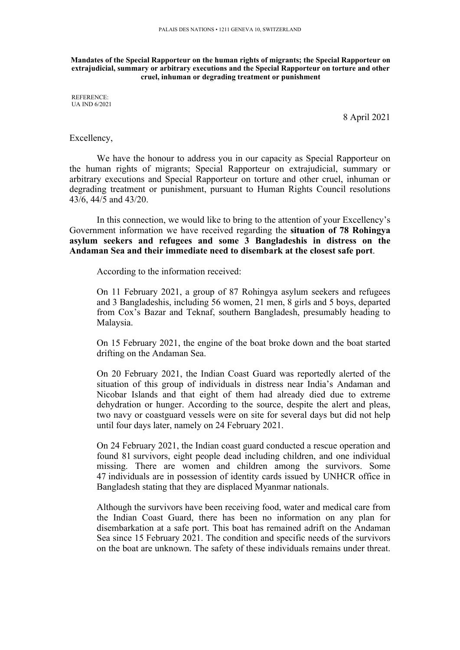**Mandates of the Special Rapporteur on the human rights of migrants; the Special Rapporteur on extrajudicial, summary or arbitrary executions and the Special Rapporteur on torture and other cruel, inhuman or degrading treatment or punishment**

REFERENCE: UA IND 6/2021

8 April 2021

## Excellency,

We have the honour to address you in our capacity as Special Rapporteur on the human rights of migrants; Special Rapporteur on extrajudicial, summary or arbitrary executions and Special Rapporteur on torture and other cruel, inhuman or degrading treatment or punishment, pursuan<sup>t</sup> to Human Rights Council resolutions 43/6, 44/5 and 43/20.

In this connection, we would like to bring to the attention of your Excellency'<sup>s</sup> Government information we have received regarding the **situation of 78 Rohingya asylum seekers and refugees and some 3 Bangladeshis in distress on the Andaman Sea and their immediate need to disembark at the closest safe port**.

According to the information received:

On 11 February 2021, <sup>a</sup> group of 87 Rohingya asylum seekers and refugees and 3 Bangladeshis, including 56 women, 21 men, 8 girls and 5 boys, departed from Cox'<sup>s</sup> Bazar and Teknaf, southern Bangladesh, presumably heading to Malaysia.

On 15 February 2021, the engine of the boat broke down and the boat started drifting on the Andaman Sea.

On 20 February 2021, the Indian Coast Guard was reportedly alerted of the situation of this group of individuals in distress near India'<sup>s</sup> Andaman and Nicobar Islands and that eight of them had already died due to extreme dehydration or hunger. According to the source, despite the alert and pleas, two navy or coastguard vessels were on site for several days but did not help until four days later, namely on 24 February 2021.

On 24 February 2021, the Indian coast guard conducted <sup>a</sup> rescue operation and found 81 survivors, eight people dead including children, and one individual missing. There are women and children among the survivors. Some 47 individuals are in possession of identity cards issued by UNHCR office in Bangladesh stating that they are displaced Myanmar nationals.

Although the survivors have been receiving food, water and medical care from the Indian Coast Guard, there has been no information on any plan for disembarkation at <sup>a</sup> safe port. This boat has remained adrift on the Andaman Sea since 15 February 2021. The condition and specific needs of the survivors on the boat are unknown. The safety of these individuals remains under threat.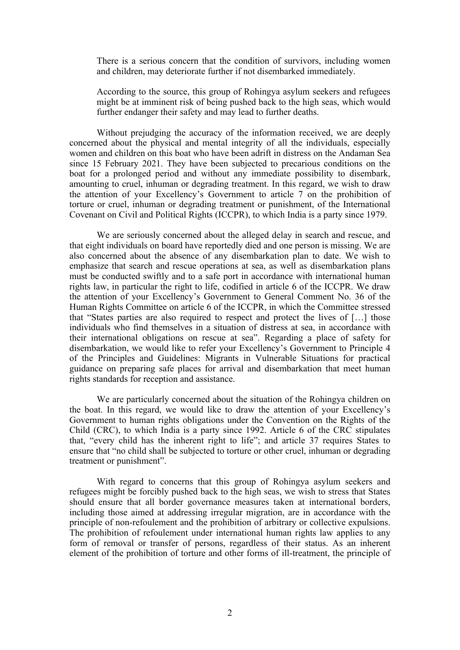There is <sup>a</sup> serious concern that the condition of survivors, including women and children, may deteriorate further if not disembarked immediately.

According to the source, this group of Rohingya asylum seekers and refugees might be at imminent risk of being pushed back to the high seas, which would further endanger their safety and may lead to further deaths.

Without prejudging the accuracy of the information received, we are deeply concerned about the physical and mental integrity of all the individuals, especially women and children on this boat who have been adrift in distress on the Andaman Sea since 15 February 2021. They have been subjected to precarious conditions on the boat for <sup>a</sup> prolonged period and without any immediate possibility to disembark, amounting to cruel, inhuman or degrading treatment. In this regard, we wish to draw the attention of your Excellency'<sup>s</sup> Government to article 7 on the prohibition of torture or cruel, inhuman or degrading treatment or punishment, of the International Covenant on Civil and Political Rights (ICCPR), to which India is <sup>a</sup> party since 1979.

We are seriously concerned about the alleged delay in search and rescue, and that eight individuals on board have reportedly died and one person is missing. We are also concerned about the absence of any disembarkation plan to date. We wish to emphasize that search and rescue operations at sea, as well as disembarkation plans must be conducted swiftly and to <sup>a</sup> safe por<sup>t</sup> in accordance with international human rights law, in particular the right to life, codified in article 6 of the ICCPR. We draw the attention of your Excellency'<sup>s</sup> Government to General Comment No. 36 of the Human Rights Committee on article 6 of the ICCPR, in which the Committee stressed that "States parties are also required to respec<sup>t</sup> and protect the lives of […] those individuals who find themselves in <sup>a</sup> situation of distress at sea, in accordance with their international obligations on rescue at sea". Regarding <sup>a</sup> place of safety for disembarkation, we would like to refer your Excellency'<sup>s</sup> Government to Principle 4 of the Principles and Guidelines: Migrants in Vulnerable Situations for practical guidance on preparing safe places for arrival and disembarkation that meet human rights standards for reception and assistance.

We are particularly concerned about the situation of the Rohingya children on the boat. In this regard, we would like to draw the attention of your Excellency'<sup>s</sup> Government to human rights obligations under the Convention on the Rights of the Child (CRC), to which India is <sup>a</sup> party since 1992. Article 6 of the CRC stipulates that, "every child has the inherent right to life"; and article 37 requires States to ensure that "no child shall be subjected to torture or other cruel, inhuman or degrading treatment or punishment".

With regard to concerns that this group of Rohingya asylum seekers and refugees might be forcibly pushed back to the high seas, we wish to stress that States should ensure that all border governance measures taken at international borders, including those aimed at addressing irregular migration, are in accordance with the principle of non-refoulement and the prohibition of arbitrary or collective expulsions. The prohibition of refoulement under international human rights law applies to any form of removal or transfer of persons, regardless of their status. As an inherent element of the prohibition of torture and other forms of ill-treatment, the principle of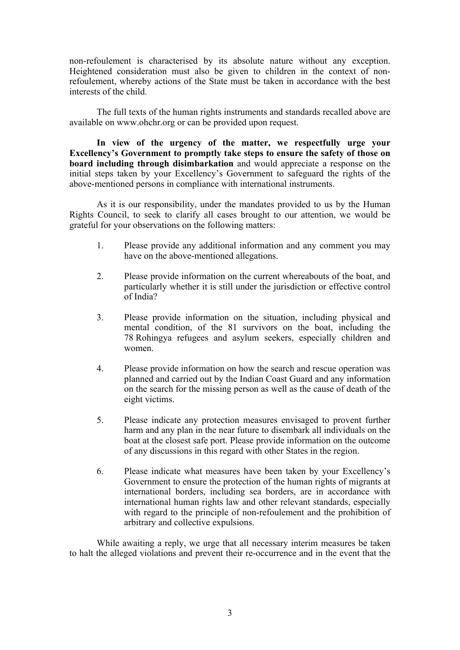non-refoulement is characterised by its absolute nature without any exception. Heightened consideration must also be given to children in the context of nonrefoulement, whereby actions of the State must be taken in accordance with the best interests of the child.

The full texts of the human rights instruments and standards recalled above are available on www.ohchr.org or can be provided upon request.

**In view of the urgency of the matter, we respectfully urge your Excellency'<sup>s</sup> Government to promptly take steps to ensure the safety of those on board including through disimbarkation** and would appreciate <sup>a</sup> response on the initial steps taken by your Excellency'<sup>s</sup> Government to safeguard the rights of the above-mentioned persons in compliance with international instruments.

As it is our responsibility, under the mandates provided to us by the Human Rights Council, to seek to clarify all cases brought to our attention, we would be grateful for your observations on the following matters:

- 1. Please provide any additional information and any comment you may have on the above-mentioned allegations.
- 2. Please provide information on the current whereabouts of the boat, and particularly whether it is still under the jurisdiction or effective control of India?
- 3. Please provide information on the situation, including physical and mental condition, of the 81 survivors on the boat, including the 78 Rohingya refugees and asylum seekers, especially children and women.
- 4. Please provide information on how the search and rescue operation was planned and carried out by the Indian Coast Guard and any information on the search for the missing person as well as the cause of death of the eight victims.
- 5. Please indicate any protection measures envisaged to proven<sup>t</sup> further harm and any plan in the near future to disembark all individuals on the boat at the closest safe port. Please provide information on the outcome of any discussions in this regard with other States in the region.
- 6. Please indicate what measures have been taken by your Excellency'<sup>s</sup> Government to ensure the protection of the human rights of migrants at international borders, including sea borders, are in accordance with international human rights law and other relevant standards, especially with regard to the principle of non-refoulement and the prohibition of arbitrary and collective expulsions.

While awaiting <sup>a</sup> reply, we urge that all necessary interim measures be taken to halt the alleged violations and preven<sup>t</sup> their re-occurrence and in the event that the